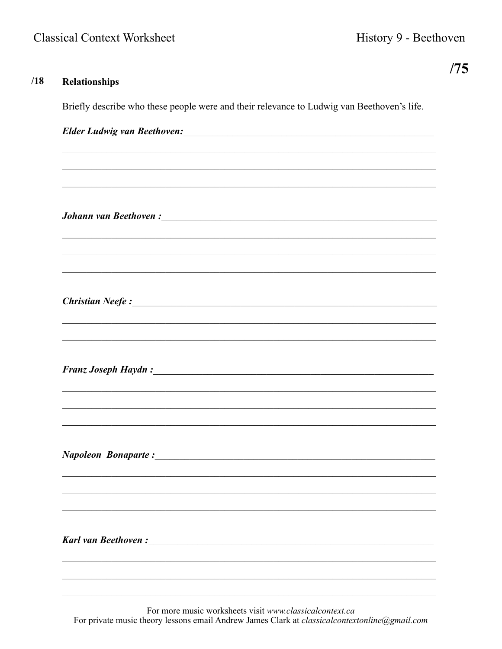$/18$ 

 $/75$ 

# **Relationships** Briefly describe who these people were and their relevance to Ludwig van Beethoven's life. **Johann van Beethoven:** The contract of the contract of the contract of the contract of the contract of the contract of the contract of the contract of the contract of the contract of the contract of the contract of the co Christian Neefe: 1988 Christian 1988 Christian Neefe : 1988 Christian 1988 Christian 1988 Christian 1988 Christian 1988 Christian 1988 Christian 1988 Christian 1988 Christian 1988 Christian 1988 Christian 1988 Christian 19 **Napoleon Bonaparte:**

For more music worksheets visit www.classicalcontext.ca For private music theory lessons email Andrew James Clark at *classicalcontextonline@gmail.com*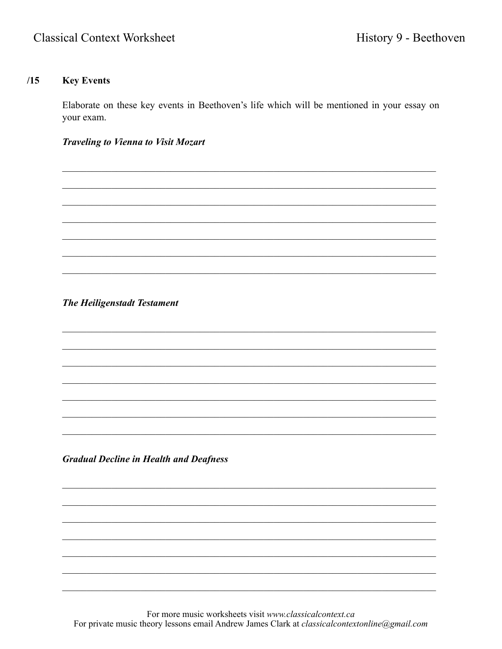# $/15$ **Key Events**

Elaborate on these key events in Beethoven's life which will be mentioned in your essay on your exam.

**Traveling to Vienna to Visit Mozart** 

**The Heiligenstadt Testament** 

**Gradual Decline in Health and Deafness** 

For more music worksheets visit www.classicalcontext.ca For private music theory lessons email Andrew James Clark at classicalcontextonline@gmail.com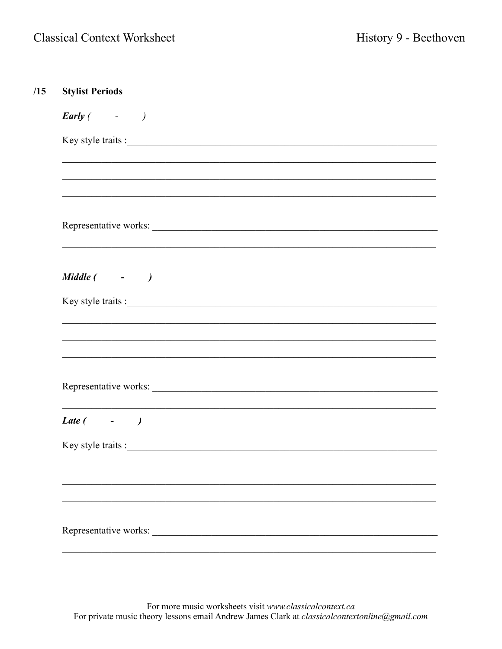| <b>Stylist Periods</b>        |
|-------------------------------|
| $\text{Early}$ ( $\qquad$ - ) |
| Key style traits :            |
|                               |
|                               |
|                               |
| Representative works:         |
|                               |
|                               |
| Middle ( - )                  |
|                               |
|                               |
|                               |
|                               |
| Representative works:         |
|                               |
| Late $($ - $)$                |
|                               |
|                               |
|                               |
|                               |
| Representative works:         |
|                               |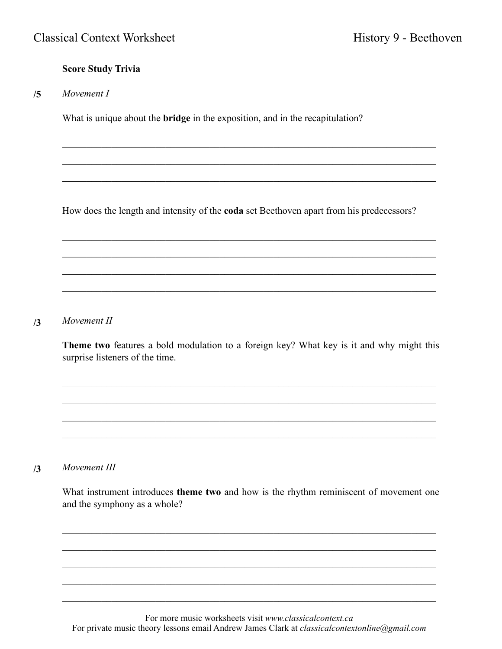# **Score Study Trivia**

*Movement I*  **/5**

What is unique about the **bridge** in the exposition, and in the recapitulation?

How does the length and intensity of the **coda** set Beethoven apart from his predecessors?

 $\mathcal{L}_\mathcal{L} = \mathcal{L}_\mathcal{L} = \mathcal{L}_\mathcal{L} = \mathcal{L}_\mathcal{L} = \mathcal{L}_\mathcal{L} = \mathcal{L}_\mathcal{L} = \mathcal{L}_\mathcal{L} = \mathcal{L}_\mathcal{L} = \mathcal{L}_\mathcal{L} = \mathcal{L}_\mathcal{L} = \mathcal{L}_\mathcal{L} = \mathcal{L}_\mathcal{L} = \mathcal{L}_\mathcal{L} = \mathcal{L}_\mathcal{L} = \mathcal{L}_\mathcal{L} = \mathcal{L}_\mathcal{L} = \mathcal{L}_\mathcal{L}$ 

 $\mathcal{L}_\mathcal{L} = \mathcal{L}_\mathcal{L} = \mathcal{L}_\mathcal{L} = \mathcal{L}_\mathcal{L} = \mathcal{L}_\mathcal{L} = \mathcal{L}_\mathcal{L} = \mathcal{L}_\mathcal{L} = \mathcal{L}_\mathcal{L} = \mathcal{L}_\mathcal{L} = \mathcal{L}_\mathcal{L} = \mathcal{L}_\mathcal{L} = \mathcal{L}_\mathcal{L} = \mathcal{L}_\mathcal{L} = \mathcal{L}_\mathcal{L} = \mathcal{L}_\mathcal{L} = \mathcal{L}_\mathcal{L} = \mathcal{L}_\mathcal{L}$ 

 $\mathcal{L}_\mathcal{L} = \mathcal{L}_\mathcal{L} = \mathcal{L}_\mathcal{L} = \mathcal{L}_\mathcal{L} = \mathcal{L}_\mathcal{L} = \mathcal{L}_\mathcal{L} = \mathcal{L}_\mathcal{L} = \mathcal{L}_\mathcal{L} = \mathcal{L}_\mathcal{L} = \mathcal{L}_\mathcal{L} = \mathcal{L}_\mathcal{L} = \mathcal{L}_\mathcal{L} = \mathcal{L}_\mathcal{L} = \mathcal{L}_\mathcal{L} = \mathcal{L}_\mathcal{L} = \mathcal{L}_\mathcal{L} = \mathcal{L}_\mathcal{L}$ 

 $\mathcal{L}_\mathcal{L} = \mathcal{L}_\mathcal{L} = \mathcal{L}_\mathcal{L} = \mathcal{L}_\mathcal{L} = \mathcal{L}_\mathcal{L} = \mathcal{L}_\mathcal{L} = \mathcal{L}_\mathcal{L} = \mathcal{L}_\mathcal{L} = \mathcal{L}_\mathcal{L} = \mathcal{L}_\mathcal{L} = \mathcal{L}_\mathcal{L} = \mathcal{L}_\mathcal{L} = \mathcal{L}_\mathcal{L} = \mathcal{L}_\mathcal{L} = \mathcal{L}_\mathcal{L} = \mathcal{L}_\mathcal{L} = \mathcal{L}_\mathcal{L}$ 

 $\mathcal{L}_\mathcal{L} = \{ \mathcal{L}_\mathcal{L} = \{ \mathcal{L}_\mathcal{L} = \{ \mathcal{L}_\mathcal{L} = \{ \mathcal{L}_\mathcal{L} = \{ \mathcal{L}_\mathcal{L} = \{ \mathcal{L}_\mathcal{L} = \{ \mathcal{L}_\mathcal{L} = \{ \mathcal{L}_\mathcal{L} = \{ \mathcal{L}_\mathcal{L} = \{ \mathcal{L}_\mathcal{L} = \{ \mathcal{L}_\mathcal{L} = \{ \mathcal{L}_\mathcal{L} = \{ \mathcal{L}_\mathcal{L} = \{ \mathcal{L}_\mathcal{$ 

 $\mathcal{L}_\mathcal{L} = \mathcal{L}_\mathcal{L} = \mathcal{L}_\mathcal{L} = \mathcal{L}_\mathcal{L} = \mathcal{L}_\mathcal{L} = \mathcal{L}_\mathcal{L} = \mathcal{L}_\mathcal{L} = \mathcal{L}_\mathcal{L} = \mathcal{L}_\mathcal{L} = \mathcal{L}_\mathcal{L} = \mathcal{L}_\mathcal{L} = \mathcal{L}_\mathcal{L} = \mathcal{L}_\mathcal{L} = \mathcal{L}_\mathcal{L} = \mathcal{L}_\mathcal{L} = \mathcal{L}_\mathcal{L} = \mathcal{L}_\mathcal{L}$ 

 $\mathcal{L}_\mathcal{L} = \{ \mathcal{L}_\mathcal{L} = \{ \mathcal{L}_\mathcal{L} = \{ \mathcal{L}_\mathcal{L} = \{ \mathcal{L}_\mathcal{L} = \{ \mathcal{L}_\mathcal{L} = \{ \mathcal{L}_\mathcal{L} = \{ \mathcal{L}_\mathcal{L} = \{ \mathcal{L}_\mathcal{L} = \{ \mathcal{L}_\mathcal{L} = \{ \mathcal{L}_\mathcal{L} = \{ \mathcal{L}_\mathcal{L} = \{ \mathcal{L}_\mathcal{L} = \{ \mathcal{L}_\mathcal{L} = \{ \mathcal{L}_\mathcal{$ 

# *Movement II* **/3**

**Theme two** features a bold modulation to a foreign key? What key is it and why might this surprise listeners of the time.

 $\mathcal{L}_\mathcal{L} = \mathcal{L}_\mathcal{L} = \mathcal{L}_\mathcal{L} = \mathcal{L}_\mathcal{L} = \mathcal{L}_\mathcal{L} = \mathcal{L}_\mathcal{L} = \mathcal{L}_\mathcal{L} = \mathcal{L}_\mathcal{L} = \mathcal{L}_\mathcal{L} = \mathcal{L}_\mathcal{L} = \mathcal{L}_\mathcal{L} = \mathcal{L}_\mathcal{L} = \mathcal{L}_\mathcal{L} = \mathcal{L}_\mathcal{L} = \mathcal{L}_\mathcal{L} = \mathcal{L}_\mathcal{L} = \mathcal{L}_\mathcal{L}$ 

 $\mathcal{L}_\mathcal{L} = \mathcal{L}_\mathcal{L} = \mathcal{L}_\mathcal{L} = \mathcal{L}_\mathcal{L} = \mathcal{L}_\mathcal{L} = \mathcal{L}_\mathcal{L} = \mathcal{L}_\mathcal{L} = \mathcal{L}_\mathcal{L} = \mathcal{L}_\mathcal{L} = \mathcal{L}_\mathcal{L} = \mathcal{L}_\mathcal{L} = \mathcal{L}_\mathcal{L} = \mathcal{L}_\mathcal{L} = \mathcal{L}_\mathcal{L} = \mathcal{L}_\mathcal{L} = \mathcal{L}_\mathcal{L} = \mathcal{L}_\mathcal{L}$ 

 $\mathcal{L}_\mathcal{L} = \mathcal{L}_\mathcal{L} = \mathcal{L}_\mathcal{L} = \mathcal{L}_\mathcal{L} = \mathcal{L}_\mathcal{L} = \mathcal{L}_\mathcal{L} = \mathcal{L}_\mathcal{L} = \mathcal{L}_\mathcal{L} = \mathcal{L}_\mathcal{L} = \mathcal{L}_\mathcal{L} = \mathcal{L}_\mathcal{L} = \mathcal{L}_\mathcal{L} = \mathcal{L}_\mathcal{L} = \mathcal{L}_\mathcal{L} = \mathcal{L}_\mathcal{L} = \mathcal{L}_\mathcal{L} = \mathcal{L}_\mathcal{L}$ 

 $\mathcal{L}_\mathcal{L} = \mathcal{L}_\mathcal{L} = \mathcal{L}_\mathcal{L} = \mathcal{L}_\mathcal{L} = \mathcal{L}_\mathcal{L} = \mathcal{L}_\mathcal{L} = \mathcal{L}_\mathcal{L} = \mathcal{L}_\mathcal{L} = \mathcal{L}_\mathcal{L} = \mathcal{L}_\mathcal{L} = \mathcal{L}_\mathcal{L} = \mathcal{L}_\mathcal{L} = \mathcal{L}_\mathcal{L} = \mathcal{L}_\mathcal{L} = \mathcal{L}_\mathcal{L} = \mathcal{L}_\mathcal{L} = \mathcal{L}_\mathcal{L}$ 

### *Movement III* **/3**

What instrument introduces **theme two** and how is the rhythm reminiscent of movement one and the symphony as a whole?

 $\mathcal{L}_\mathcal{L} = \mathcal{L}_\mathcal{L} = \mathcal{L}_\mathcal{L} = \mathcal{L}_\mathcal{L} = \mathcal{L}_\mathcal{L} = \mathcal{L}_\mathcal{L} = \mathcal{L}_\mathcal{L} = \mathcal{L}_\mathcal{L} = \mathcal{L}_\mathcal{L} = \mathcal{L}_\mathcal{L} = \mathcal{L}_\mathcal{L} = \mathcal{L}_\mathcal{L} = \mathcal{L}_\mathcal{L} = \mathcal{L}_\mathcal{L} = \mathcal{L}_\mathcal{L} = \mathcal{L}_\mathcal{L} = \mathcal{L}_\mathcal{L}$ 

 $\mathcal{L}_\mathcal{L} = \mathcal{L}_\mathcal{L} = \mathcal{L}_\mathcal{L} = \mathcal{L}_\mathcal{L} = \mathcal{L}_\mathcal{L} = \mathcal{L}_\mathcal{L} = \mathcal{L}_\mathcal{L} = \mathcal{L}_\mathcal{L} = \mathcal{L}_\mathcal{L} = \mathcal{L}_\mathcal{L} = \mathcal{L}_\mathcal{L} = \mathcal{L}_\mathcal{L} = \mathcal{L}_\mathcal{L} = \mathcal{L}_\mathcal{L} = \mathcal{L}_\mathcal{L} = \mathcal{L}_\mathcal{L} = \mathcal{L}_\mathcal{L}$ 

 $\mathcal{L}_\mathcal{L} = \{ \mathcal{L}_\mathcal{L} = \{ \mathcal{L}_\mathcal{L} = \{ \mathcal{L}_\mathcal{L} = \{ \mathcal{L}_\mathcal{L} = \{ \mathcal{L}_\mathcal{L} = \{ \mathcal{L}_\mathcal{L} = \{ \mathcal{L}_\mathcal{L} = \{ \mathcal{L}_\mathcal{L} = \{ \mathcal{L}_\mathcal{L} = \{ \mathcal{L}_\mathcal{L} = \{ \mathcal{L}_\mathcal{L} = \{ \mathcal{L}_\mathcal{L} = \{ \mathcal{L}_\mathcal{L} = \{ \mathcal{L}_\mathcal{$ 

 $\mathcal{L}_\mathcal{L} = \mathcal{L}_\mathcal{L} = \mathcal{L}_\mathcal{L} = \mathcal{L}_\mathcal{L} = \mathcal{L}_\mathcal{L} = \mathcal{L}_\mathcal{L} = \mathcal{L}_\mathcal{L} = \mathcal{L}_\mathcal{L} = \mathcal{L}_\mathcal{L} = \mathcal{L}_\mathcal{L} = \mathcal{L}_\mathcal{L} = \mathcal{L}_\mathcal{L} = \mathcal{L}_\mathcal{L} = \mathcal{L}_\mathcal{L} = \mathcal{L}_\mathcal{L} = \mathcal{L}_\mathcal{L} = \mathcal{L}_\mathcal{L}$ 

 $\mathcal{L}_\mathcal{L} = \{ \mathcal{L}_\mathcal{L} = \{ \mathcal{L}_\mathcal{L} = \{ \mathcal{L}_\mathcal{L} = \{ \mathcal{L}_\mathcal{L} = \{ \mathcal{L}_\mathcal{L} = \{ \mathcal{L}_\mathcal{L} = \{ \mathcal{L}_\mathcal{L} = \{ \mathcal{L}_\mathcal{L} = \{ \mathcal{L}_\mathcal{L} = \{ \mathcal{L}_\mathcal{L} = \{ \mathcal{L}_\mathcal{L} = \{ \mathcal{L}_\mathcal{L} = \{ \mathcal{L}_\mathcal{L} = \{ \mathcal{L}_\mathcal{$